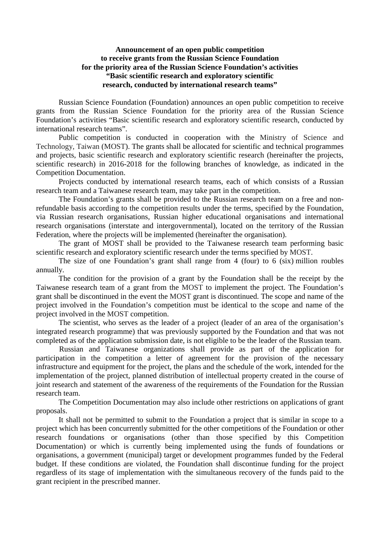## **Announcement of an open public competition to receive grants from the Russian Science Foundation for the priority area of the Russian Science Foundation's activities "Basic scientific research and exploratory scientific research, conducted by international research teams"**

Russian Science Foundation (Foundation) announces an open public competition to receive grants from the Russian Science Foundation for the priority area of the Russian Science Foundation's activities "Basic scientific research and exploratory scientific research, conducted by international research teams".

Public competition is conducted in cooperation with the Ministry of Science and Technology, Taiwan (MOST). The grants shall be allocated for scientific and technical programmes and projects, basic scientific research and exploratory scientific research (hereinafter the projects, scientific research) in 2016-2018 for the following branches of knowledge, as indicated in the Competition Documentation.

Projects conducted by international research teams, each of which consists of a Russian research team and a Taiwanese research team, may take part in the competition.

The Foundation's grants shall be provided to the Russian research team on a free and nonrefundable basis according to the competition results under the terms, specified by the Foundation, via Russian research organisations, Russian higher educational organisations and international research organisations (interstate and intergovernmental), located on the territory of the Russian Federation, where the projects will be implemented (hereinafter the organisation).

The grant of MOST shall be provided to the Taiwanese research team performing basic scientific research and exploratory scientific research under the terms specified by MOST.

The size of one Foundation's grant shall range from 4 (four) to 6 (six) million roubles annually.

The condition for the provision of a grant by the Foundation shall be the receipt by the Taiwanese research team of a grant from the MOST to implement the project. The Foundation's grant shall be discontinued in the event the MOST grant is discontinued. The scope and name of the project involved in the Foundation's competition must be identical to the scope and name of the project involved in the MOST competition.

The scientist, who serves as the leader of a project (leader of an area of the organisation's integrated research programme) that was previously supported by the Foundation and that was not completed as of the application submission date, is not eligible to be the leader of the Russian team.

Russian and Taiwanese organizations shall provide as part of the application for participation in the competition a letter of agreement for the provision of the necessary infrastructure and equipment for the project, the plans and the schedule of the work, intended for the implementation of the project, planned distribution of intellectual property created in the course of joint research and statement of the awareness of the requirements of the Foundation for the Russian research team.

The Competition Documentation may also include other restrictions on applications of grant proposals.

It shall not be permitted to submit to the Foundation a project that is similar in scope to a project which has been concurrently submitted for the other competitions of the Foundation or other research foundations or organisations (other than those specified by this Competition Documentation) or which is currently being implemented using the funds of foundations or organisations, a government (municipal) target or development programmes funded by the Federal budget. If these conditions are violated, the Foundation shall discontinue funding for the project regardless of its stage of implementation with the simultaneous recovery of the funds paid to the grant recipient in the prescribed manner.